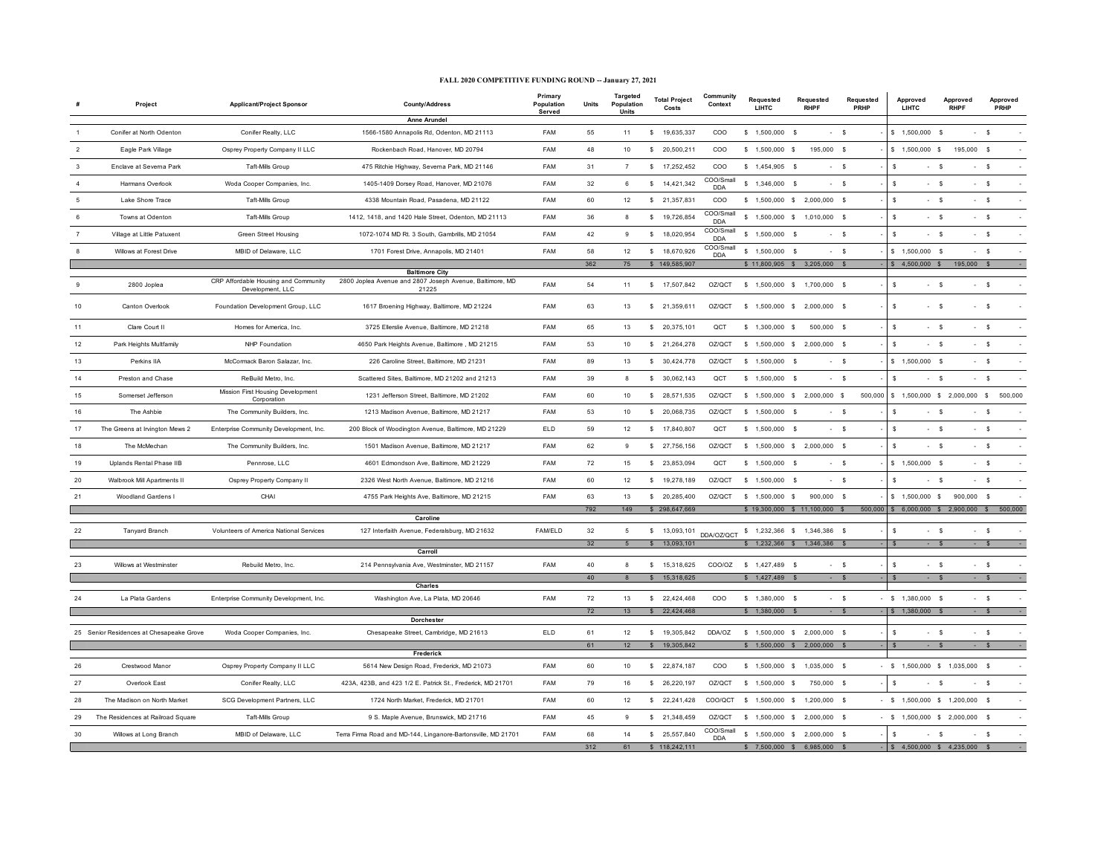## **FALL 2020 COMPETITIVE FUNDING ROUND -- January 27, 2021**

|              | Project                                  | Applicant/Project Sponsor                        | <b>County/Address</b>                                                             | Primary<br>Population<br>Served | Units  | <b>Targeted</b><br>Population<br>Units | <b>Total Project</b><br>Costs | Community<br>Context    | Requested<br>LIHTC           | Requested<br><b>RHPF</b>       | Requested<br>PRHP | Approved<br><b>LIHTC</b>         | Approved<br><b>RHPF</b>       | Approved<br>PRHP |
|--------------|------------------------------------------|--------------------------------------------------|-----------------------------------------------------------------------------------|---------------------------------|--------|----------------------------------------|-------------------------------|-------------------------|------------------------------|--------------------------------|-------------------|----------------------------------|-------------------------------|------------------|
|              |                                          |                                                  | Anne Arundel                                                                      |                                 |        |                                        |                               |                         |                              |                                |                   |                                  |                               |                  |
|              | Conifer at North Odenton                 | Conifer Realty, LLC                              | 1566-1580 Annapolis Rd, Odenton, MD 21113                                         | FAM                             | 55     | 11                                     | $\mathbb{S}$<br>19,635,337    | COO                     | $$1,500,000$ \$              | $-$ s                          |                   | \$1,500,000                      | $-$ s<br>- \$                 |                  |
|              | Eagle Park Village                       | Osprey Property Company II LLC                   | Rockenbach Road, Hanover, MD 20794                                                | FAM                             | 48     | $10$                                   | \$20,500,211                  | COO                     | $$1,500,000$ \$              | 195,000 \$                     |                   | $$1,500,000$ \$                  | 195,000 \$                    |                  |
| $\mathbf{3}$ | Enclave at Severna Park                  | Taft-Mills Group                                 | 475 Ritchie Highway, Severna Park, MD 21146                                       | FAM                             | 31     | $\overline{7}$                         | \$ 17,252,452                 | $_{\rm COO}$            | $$1,454,905$ \$              | $-5$                           |                   | - S                              | $-5$<br>$-5$                  |                  |
|              | Harmans Overlook                         | Woda Cooper Companies, Inc.                      | 1405-1409 Dorsey Road, Hanover, MD 21076                                          | FAM                             | 32     | 6                                      | \$14,421,342                  | COO/Small<br><b>DDA</b> | $$1,346,000$ \$              | $- S$                          |                   | \$                               | $-5$<br>$-5$                  |                  |
|              | Lake Shore Trace                         | <b>Taft-Mills Group</b>                          | 4338 Mountain Road, Pasadena, MD 21122                                            | FAM                             | 60     | 12                                     | \$21,357,831                  | COO                     |                              | \$ 1,500,000 \$ 2,000,000 \$   |                   | \$                               | $-5$<br>$- S$                 |                  |
|              | Towns at Odenton                         | Taft-Mills Group                                 | 1412, 1418, and 1420 Hale Street, Odenton, MD 21113                               | <b>FAM</b>                      | 36     | 8                                      | \$ 19,726,854                 | COO/Small<br>DDA        |                              | \$ 1,500,000 \$ 1,010,000 \$   |                   | s.                               | $-5$<br>$- S$                 |                  |
|              | Village at Little Patuxent               | Green Street Housing                             | 1072-1074 MD Rt. 3 South, Gambrills, MD 21054                                     | FAM                             | 42     | $_{9}$                                 | \$18,020,954                  | COO/Small<br><b>DDA</b> | $$1,500,000$ \$              | $-5$                           |                   | s                                | $-5$<br>$-5$                  |                  |
|              | Willows at Forest Drive                  | MBID of Delaware, LLC                            | 1701 Forest Drive, Annapolis, MD 21401                                            | FAM                             | 58     | 12                                     | \$ 18,670,926                 | COO/Small<br><b>DDA</b> | $$1,500,000$ \$              | $-5$                           |                   | $$1,500,000$ \$                  | $-5$                          |                  |
|              |                                          |                                                  |                                                                                   |                                 | 362    | 75                                     | \$149,585,907                 |                         |                              | \$11,800,905 \$3,205,000 \$    |                   | $$4,500,000$ \$                  | 195,000 \$                    |                  |
|              |                                          | CRP Affordable Housing and Community             | <b>Baltimore City</b><br>2800 Joplea Avenue and 2807 Joseph Avenue, Baltimore, MD |                                 |        |                                        |                               |                         |                              |                                |                   |                                  |                               |                  |
|              | 2800 Joplea                              | Development, LLC                                 | 21225                                                                             | FAM                             | 54     | 11                                     | \$ 17,507,842                 | OZ/QCT                  | \$ 1,500,000 \$ 1,700,000 \$ |                                |                   | \$                               | $-5$<br>$-5$                  |                  |
| 10           | Canton Overlook                          | Foundation Development Group, LLC                | 1617 Broening Highway, Baltimore, MD 21224                                        | FAM                             | 63     | 13                                     | \$ 21,359,611                 | OZ/QCT                  | \$ 1,500,000 \$ 2,000,000 \$ |                                |                   | s                                | $-5$<br>$-5$                  |                  |
| 11           | Clare Court II                           | Homes for America, Inc.                          | 3725 Ellerslie Avenue, Baltimore, MD 21218                                        | FAM                             | 65     | 13                                     | \$20,375,101                  | QCT                     | $$1,300,000$ \$              | 500,000 \$                     |                   | \$                               | $-5$<br>$-5$                  |                  |
| 12           | Park Heights Multfamily                  | NHP Foundation                                   | 4650 Park Heights Avenue, Baltimore, MD 21215                                     | FAM                             | 53     | 10                                     | \$21,264,278                  | OZ/QCT                  | \$ 1,500,000 \$ 2,000,000 \$ |                                |                   | \$.                              | $-5$<br>$- S$                 |                  |
| 13           | Perkins IIA                              | McCormack Baron Salazar, Inc.                    | 226 Caroline Street, Baltimore, MD 21231                                          | FAM                             | 89     | 13                                     | $\mathbb{S}$<br>30,424,778    | OZ/QCT                  | \$1,500,000                  | $-5$<br>్య                     |                   | $$1,500,000$ \$                  | $- S$                         |                  |
| 14           | Preston and Chase                        | ReBuild Metro, Inc.                              | Scattered Sites, Baltimore, MD 21202 and 21213                                    | FAM                             | 39     | 8                                      | \$30,062,143                  | QCT                     | $$1,500,000$ \$              | $-5$                           |                   | $\mathbf{s}$                     | $-5$<br>$-5$                  |                  |
| 15           | Somerset Jefferson                       | Mission First Housing Development<br>Corporation | 1231 Jefferson Street, Baltimore, MD 21202                                        | FAM                             | 60     | 10                                     | \$ 28,571,535                 | OZ/QCT                  | \$1,500,000 \$2,000,000 \$   |                                | 500,000           |                                  | $$1,500,000$ $$2,000,000$ $$$ | 500,000          |
| 16           | The Ashbie                               | The Community Builders, Inc.                     | 1213 Madison Avenue, Baltimore, MD 21217                                          | FAM                             | 53     | $10$                                   | \$ 20,068,735                 | OZ/QCT                  | $$1,500,000$ \$              | $-5$                           |                   | \$                               | $-5$<br>$-5$                  |                  |
| 17           | The Greens at Irvington Mews 2           | Enterprise Community Development, Inc.           | 200 Block of Woodington Avenue, Baltimore, MD 21229                               | <b>ELD</b>                      | 59     | 12                                     | \$ 17,840,807                 | QCT                     | $$1,500,000$ \$              | - \$                           |                   | \$                               | $-5$<br>$-5$                  |                  |
| 18           | The McMechan                             | The Community Builders, Inc.                     | 1501 Madison Avenue, Baltimore, MD 21217                                          | FAM                             | 62     | 9                                      | \$27,756,156                  | OZ/OCT                  |                              | \$ 1,500,000 \$ 2,000,000 \$   |                   | \$.                              | $-5$<br>$-5$                  |                  |
| 19           | Uplands Rental Phase IIB                 | Pennrose, LLC                                    | 4601 Edmondson Ave, Baltimore, MD 21229                                           | FAM                             | 72     | 15                                     | \$23,853,094                  | QCT                     | $$1,500,000$ \$              | $-5$                           |                   | $$1,500,000$ \$                  | $-5$                          |                  |
| 20           | Walbrook Mill Apartments II              | Osprey Property Company II                       | 2326 West North Avenue, Baltimore, MD 21216                                       | FAM                             | 60     | 12                                     | \$ 19,278,189                 | OZ/QCT                  | $$1,500,000$ \$              | $- S$                          |                   | \$                               | $-5$<br>$- S$                 |                  |
| 21           | Woodland Gardens I                       | CHAI                                             | 4755 Park Heights Ave, Baltimore, MD 21215                                        | FAM                             | 63     | 13                                     | \$20,285,400                  | OZ/QCT                  | \$ 1.500,000 \$              | 900,000 \$                     |                   | $$1,500,000$ \$                  | 900,000 \$                    |                  |
|              |                                          |                                                  | Caroline                                                                          |                                 | 792    | 149                                    | \$298,647,669                 |                         |                              | $$19,300,000$ $$11,100,000$ \$ | 500,00            |                                  | \$ 6,000,000 \$ 2,900,000 \$  | 500,000          |
| 22           | Tanyard Branch                           | Volunteers of America National Services          | 127 Interfaith Avenue, Federalsburg, MD 21632                                     | <b>FAM/ELD</b>                  | $32\,$ | 5                                      | \$                            | 13,093,101 DDA/OZ/QCT   |                              | \$ 1,232,366 \$ 1,346,386 \$   |                   | \$.                              | $-5$<br>$-5$                  |                  |
|              |                                          |                                                  |                                                                                   |                                 | 32     | 5 <sup>5</sup>                         | \$ 13,093,101                 |                         |                              | $$1,232,366$ $$1,346,386$ $$$  |                   | $\mathbf{s}$                     | $-5$<br>$-$ \$                |                  |
|              |                                          |                                                  | Carroll                                                                           |                                 |        |                                        |                               |                         |                              |                                |                   |                                  |                               |                  |
|              | Willows at Westminster                   | Rebuild Metro, Inc.                              | 214 Pennsylvania Ave, Westminster, MD 21157                                       | FAM                             | 40     | 8                                      | 15,318,625<br>s.              | COO/OZ                  | \$1,427,489                  | ్య                             | $\mathsf{s}$      | \$                               | $-5$<br>$- S$                 |                  |
|              |                                          |                                                  | Charles                                                                           |                                 | 40     |                                        | 15,318,625                    |                         | \$1,427,489                  |                                | $\mathbf{s}$      |                                  |                               |                  |
| 24           | La Plata Gardens                         | Enterprise Community Development, Inc.           | Washington Ave, La Plata, MD 20646                                                | FAM                             | 72     | 13                                     | \$22,424,468                  | COO                     | $$1,380,000$ \$              | $- S$                          |                   | $-$ \$ 1,380,000 \$              | $-5$                          |                  |
|              |                                          |                                                  |                                                                                   |                                 | 72     | 13                                     | S<br>22,424,468               |                         | $$1,380,000$ \$              | $- S$                          |                   | S 1.380,000 \$                   | $-$ S                         |                  |
|              |                                          |                                                  | <b>Dorchester</b>                                                                 |                                 |        |                                        |                               |                         |                              |                                |                   |                                  |                               |                  |
|              | 25 Senior Residences at Chesapeake Grove | Woda Cooper Companies, Inc.                      | Chesapeake Street, Cambridge, MD 21613                                            | ELD                             | 61     | 12                                     | \$ 19,305,842                 | DDA/OZ                  | \$ 1,500,000 \$ 2,000,000 \$ |                                |                   | \$                               | $-5$<br>- \$                  |                  |
|              |                                          |                                                  |                                                                                   |                                 | 61     | 12                                     | \$19,305,842                  |                         |                              | \$ 1,500,000 \$ 2,000,000 \$   |                   | S.                               | $- S$<br>$-$ \$               |                  |
| 26           | Crestwood Manor                          | Osprey Property Company II LLC                   | Frederick<br>5614 New Design Road, Frederick, MD 21073                            | FAM                             | 60     | 10                                     | \$22,874,187                  | COO                     |                              | \$ 1,500,000 \$ 1,035,000 \$   |                   | $-$ \$ 1,500,000 \$ 1,035,000 \$ |                               |                  |
| 27           | Overlook East                            | Conifer Realty, LLC                              | 423A, 423B, and 423 1/2 E. Patrick St., Frederick, MD 21701                       | FAM                             | 79     | 16                                     | \$26,220,197                  | OZ/QCT                  | $$1,500,000$ \$              | 750,000 \$                     |                   | - S                              | $-5$<br>- \$                  |                  |
| 28           | The Madison on North Market              | SCG Development Partners, LLC                    | 1724 North Market, Frederick, MD 21701                                            | FAM                             | 60     | 12                                     | \$22,241,428                  | COO/QCT                 | \$ 1,500,000 \$ 1,200,000 \$ |                                |                   | - \$ 1,500,000 \$ 1,200,000 \$   |                               |                  |
| 29           | The Residences at Railroad Square        | Taft-Mills Group                                 | 9 S. Maple Avenue, Brunswick, MD 21716                                            | FAM                             | 45     | $_{9}$                                 | \$21,348,459                  | OZ/QCT                  |                              | \$ 1,500,000 \$ 2,000,000 \$   |                   | $-$ \$ 1,500,000 \$ 2,000,000 \$ |                               |                  |
| 30           | Willows at Long Branch                   | MBID of Delaware, LLC                            | Terra Firma Road and MD-144, Linganore-Bartonsville, MD 21701                     | FAM                             | 68     | 14                                     | \$ 25,557,840                 | COO/Small               |                              | \$1,500,000 \$2,000,000 \$     |                   | <sub>S</sub>                     | $-5$<br>$- S$                 |                  |
|              |                                          |                                                  |                                                                                   |                                 | 312    | 61                                     | \$118,242,111                 | <b>DDA</b>              | 7.500.000                    | 6985000                        |                   | 4.500.000 \$                     | 4.235.000                     |                  |